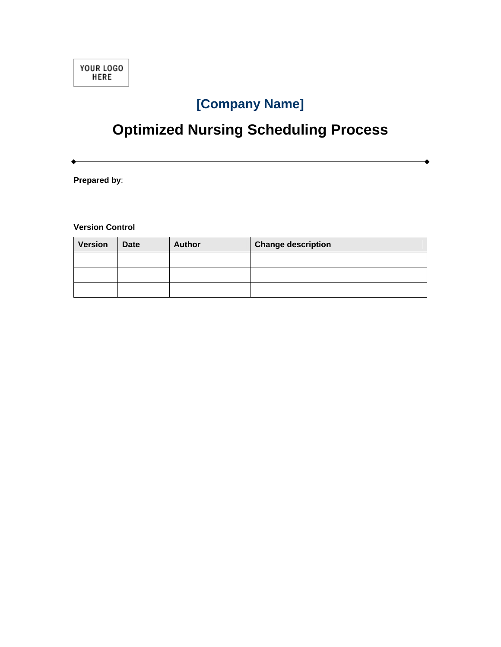

## **[Company Name]**

# **Optimized Nursing Scheduling Process**

**Prepared by**:

**Version Control** 

| <b>Version</b> | <b>Date</b> | <b>Author</b> | <b>Change description</b> |  |
|----------------|-------------|---------------|---------------------------|--|
|                |             |               |                           |  |
|                |             |               |                           |  |
|                |             |               |                           |  |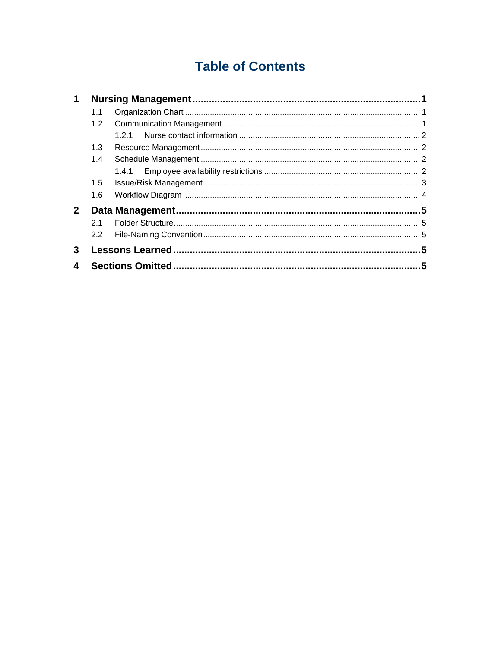## **Table of Contents**

| 1              |               |     |   |
|----------------|---------------|-----|---|
|                | 1.1           |     |   |
|                | 1.2           |     |   |
|                |               | 121 |   |
|                | 1.3           |     |   |
|                | 1.4           |     |   |
|                |               |     |   |
|                | $1.5^{\circ}$ |     |   |
|                | 1.6           |     |   |
| 2 <sup>1</sup> |               |     |   |
|                | 21            |     |   |
|                | $2.2^{\circ}$ |     |   |
| 3              |               |     |   |
| 4              |               |     | 5 |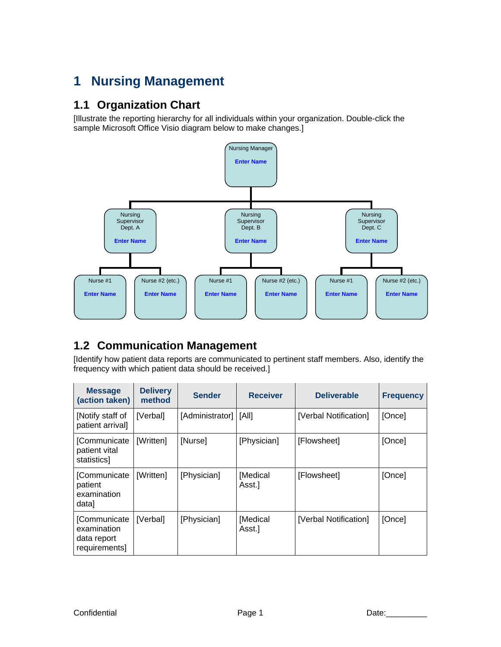## **1 Nursing Management**

#### **1.1 Organization Chart**

[Illustrate the reporting hierarchy for all individuals within your organization. Double-click the sample Microsoft Office Visio diagram below to make changes.]



### **1.2 Communication Management**

[Identify how patient data reports are communicated to pertinent staff members. Also, identify the frequency with which patient data should be received.]

| <b>Message</b><br>(action taken)                            | <b>Delivery</b><br>method | <b>Sender</b>   | <b>Receiver</b>    | <b>Deliverable</b>    | <b>Frequency</b> |
|-------------------------------------------------------------|---------------------------|-----------------|--------------------|-----------------------|------------------|
| [Notify staff of<br>patient arrival]                        | [Verbal]                  | [Administrator] | [All]              | [Verbal Notification] | [Once]           |
| [Communicate<br>patient vital<br>statistics]                | [Written]                 | [Nurse]         | [Physician]        | [Flowsheet]           | [Once]           |
| [Communicate<br>patient<br>examination<br>datal             | [Written]                 | [Physician]     | [Medical<br>Asst.] | [Flowsheet]           | [Once]           |
| [Communicate<br>examination<br>data report<br>requirements] | [Verbal]                  | [Physician]     | [Medical<br>Asst.] | [Verbal Notification] | [Once]           |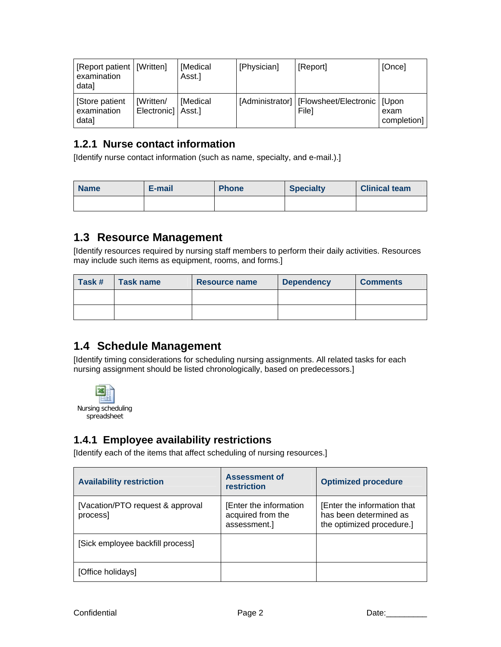| [Report patient   [Written]<br>examination<br>data] |                                 | [Medical<br>Asst.] | [Physician] | [Report]                                                 | [Once]              |
|-----------------------------------------------------|---------------------------------|--------------------|-------------|----------------------------------------------------------|---------------------|
| Store patient<br>examination<br>datal               | [Written/<br>Electronic] Asst.] | [Medical           |             | [Administrator]   [Flowsheet/Electronic   [Upon<br>Filel | exam<br>completion] |

#### **1.2.1 Nurse contact information**

[Identify nurse contact information (such as name, specialty, and e-mail.).]

| <b>Name</b> | E-mail | <b>Phone</b> | <b>Specialty</b> | <b>Clinical team</b> |
|-------------|--------|--------------|------------------|----------------------|
|             |        |              |                  |                      |

### **1.3 Resource Management**

[Identify resources required by nursing staff members to perform their daily activities. Resources may include such items as equipment, rooms, and forms.]

| Task # | Task name | Resource name | <b>Dependency</b> | <b>Comments</b> |
|--------|-----------|---------------|-------------------|-----------------|
|        |           |               |                   |                 |
|        |           |               |                   |                 |

### **1.4 Schedule Management**

[Identify timing considerations for scheduling nursing assignments. All related tasks for each nursing assignment should be listed chronologically, based on predecessors.]



#### **1.4.1 Employee availability restrictions**

[Identify each of the items that affect scheduling of nursing resources.]

| <b>Availability restriction</b>              | <b>Assessment of</b><br>restriction                               | <b>Optimized procedure</b>                                                         |
|----------------------------------------------|-------------------------------------------------------------------|------------------------------------------------------------------------------------|
| [Vacation/PTO request & approval]<br>process | <b>Enter the information</b><br>acquired from the<br>assessment.] | [Enter the information that<br>has been determined as<br>the optimized procedure.] |
| [Sick employee backfill process]             |                                                                   |                                                                                    |
| [Office holidays]                            |                                                                   |                                                                                    |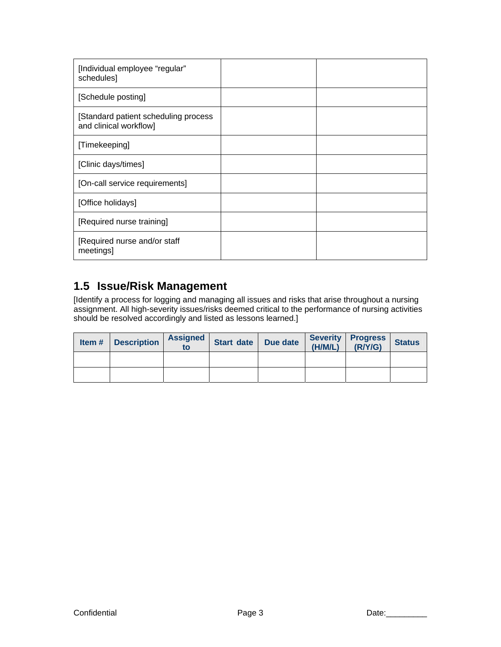| [Individual employee "regular"<br>schedules]                   |  |
|----------------------------------------------------------------|--|
| [Schedule posting]                                             |  |
| [Standard patient scheduling process<br>and clinical workflow] |  |
| [Timekeeping]                                                  |  |
| [Clinic days/times]                                            |  |
| [On-call service requirements]                                 |  |
| [Office holidays]                                              |  |
| [Required nurse training]                                      |  |
| [Required nurse and/or staff<br>meetings]                      |  |

### **1.5 Issue/Risk Management**

[Identify a process for logging and managing all issues and risks that arise throughout a nursing assignment. All high-severity issues/risks deemed critical to the performance of nursing activities should be resolved accordingly and listed as lessons learned.]

| Item# | <b>Description</b> | <b>Assigned</b><br>to | <b>Start date</b> | Due date | <b>Severity</b><br>(H/M/L) | <b>Progress</b><br>(R/ Y/G) | <b>Status</b> |
|-------|--------------------|-----------------------|-------------------|----------|----------------------------|-----------------------------|---------------|
|       |                    |                       |                   |          |                            |                             |               |
|       |                    |                       |                   |          |                            |                             |               |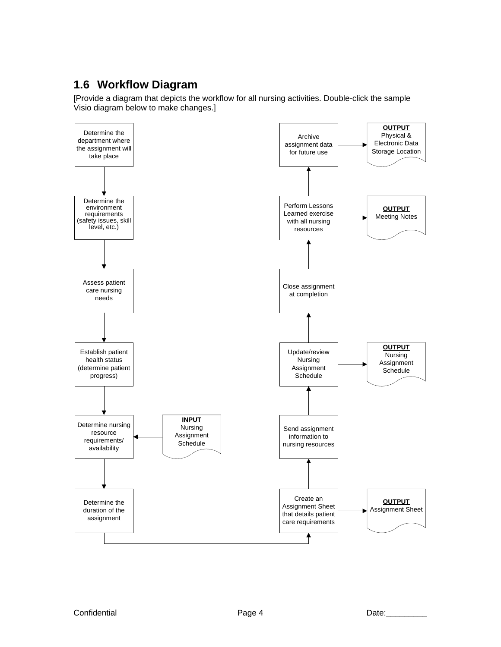### **1.6 Workflow Diagram**

[Provide a diagram that depicts the workflow for all nursing activities. Double-click the sample Visio diagram below to make changes.]